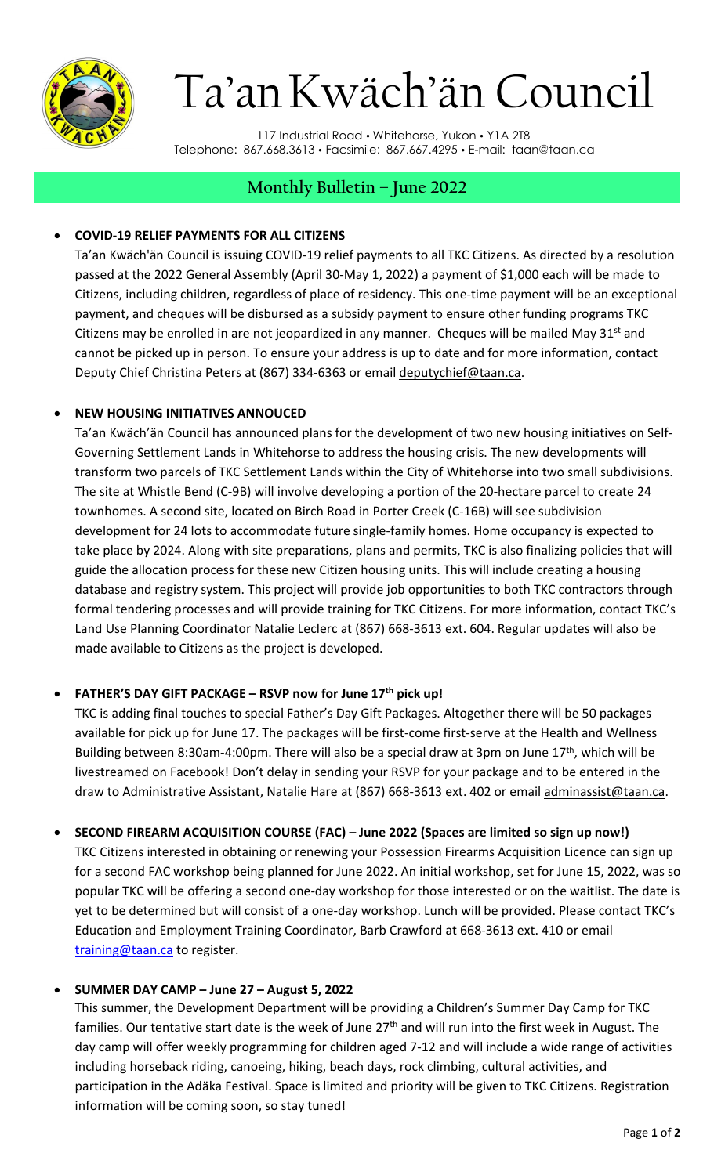

# Ta'anKwäch'än Council

117 Industrial Road • Whitehorse, Yukon • Y1A 2T8 Telephone: 867.668.3613 Facsimile: 867.667.4295 E-mail: [taan@taan.ca](mailto:taan@taan.ca)

# **Monthly Bulletin – June 2022**

## • **COVID-19 RELIEF PAYMENTS FOR ALL CITIZENS**

Ta'an Kwäch'än Council is issuing COVID-19 relief payments to all TKC Citizens. As directed by a resolution passed at the 2022 General Assembly (April 30-May 1, 2022) a payment of \$1,000 each will be made to Citizens, including children, regardless of place of residency. This one-time payment will be an exceptional payment, and cheques will be disbursed as a subsidy payment to ensure other funding programs TKC Citizens may be enrolled in are not jeopardized in any manner. Cheques will be mailed May  $31<sup>st</sup>$  and cannot be picked up in person. To ensure your address is up to date and for more information, contact Deputy Chief Christina Peters at (867) 334-6363 or email [deputychief@taan.ca.](mailto:deputychief@taan.ca)

### • **NEW HOUSING INITIATIVES ANNOUCED**

Ta'an Kwäch'än Council has announced plans for the development of two new housing initiatives on Self-Governing Settlement Lands in Whitehorse to address the housing crisis. The new developments will transform two parcels of TKC Settlement Lands within the City of Whitehorse into two small subdivisions. The site at Whistle Bend (C-9B) will involve developing a portion of the 20-hectare parcel to create 24 townhomes. A second site, located on Birch Road in Porter Creek (C-16B) will see subdivision development for 24 lots to accommodate future single-family homes. Home occupancy is expected to take place by 2024. Along with site preparations, plans and permits, TKC is also finalizing policies that will guide the allocation process for these new Citizen housing units. This will include creating a housing database and registry system. This project will provide job opportunities to both TKC contractors through formal tendering processes and will provide training for TKC Citizens. For more information, contact TKC's Land Use Planning Coordinator Natalie Leclerc at (867) 668-3613 ext. 604. Regular updates will also be made available to Citizens as the project is developed.

# • **FATHER'S DAY GIFT PACKAGE – RSVP now for June 17th pick up!**

TKC is adding final touches to special Father's Day Gift Packages. Altogether there will be 50 packages available for pick up for June 17. The packages will be first-come first-serve at the Health and Wellness Building between 8:30am-4:00pm. There will also be a special draw at 3pm on June 17<sup>th</sup>, which will be livestreamed on Facebook! Don't delay in sending your RSVP for your package and to be entered in the draw to Administrative Assistant, Natalie Hare at (867) 668-3613 ext. 402 or email [adminassist@taan.ca.](mailto:adminassist@taan.ca)

# • **SECOND FIREARM ACQUISITION COURSE (FAC) – June 2022 (Spaces are limited so sign up now!)**

TKC Citizens interested in obtaining or renewing your Possession Firearms Acquisition Licence can sign up for a second FAC workshop being planned for June 2022. An initial workshop, set for June 15, 2022, was so popular TKC will be offering a second one-day workshop for those interested or on the waitlist. The date is yet to be determined but will consist of a one-day workshop. Lunch will be provided. Please contact TKC's Education and Employment Training Coordinator, Barb Crawford at 668-3613 ext. 410 or email [training@taan.ca](mailto:training@taan.ca) to register.

#### • **SUMMER DAY CAMP – June 27 – August 5, 2022**

This summer, the Development Department will be providing a Children's Summer Day Camp for TKC families. Our tentative start date is the week of June  $27<sup>th</sup>$  and will run into the first week in August. The day camp will offer weekly programming for children aged 7-12 and will include a wide range of activities including horseback riding, canoeing, hiking, beach days, rock climbing, cultural activities, and participation in the Adäka Festival. Space is limited and priority will be given to TKC Citizens. Registration information will be coming soon, so stay tuned!